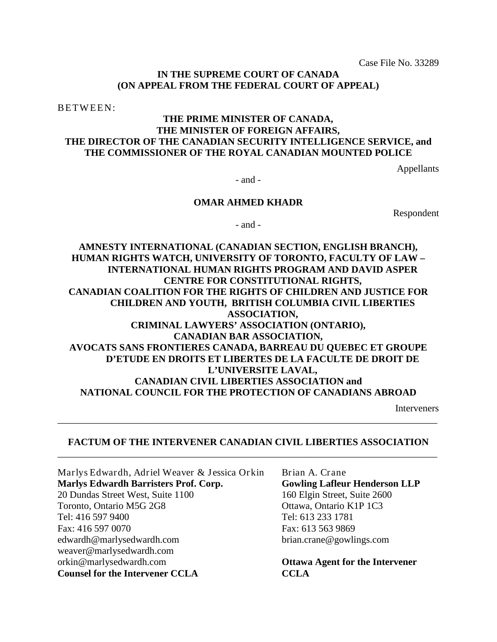Case File No. 33289

### **IN THE SUPREME COURT OF CANADA (ON APPEAL FROM THE FEDERAL COURT OF APPEAL)**

BETWEEN:

## **THE PRIME MINISTER OF CANADA, THE MINISTER OF FOREIGN AFFAIRS, THE DIRECTOR OF THE CANADIAN SECURITY INTELLIGENCE SERVICE, and THE COMMISSIONER OF THE ROYAL CANADIAN MOUNTED POLICE**

Appellants

- and -

#### **OMAR AHMED KHADR**

Respondent

- and -

# **AMNESTY INTERNATIONAL (CANADIAN SECTION, ENGLISH BRANCH), HUMAN RIGHTS WATCH, UNIVERSITY OF TORONTO, FACULTY OF LAW – INTERNATIONAL HUMAN RIGHTS PROGRAM AND DAVID ASPER CENTRE FOR CONSTITUTIONAL RIGHTS, CANADIAN COALITION FOR THE RIGHTS OF CHILDREN AND JUSTICE FOR CHILDREN AND YOUTH, BRITISH COLUMBIA CIVIL LIBERTIES ASSOCIATION, CRIMINAL LAWYERS' ASSOCIATION (ONTARIO), CANADIAN BAR ASSOCIATION, AVOCATS SANS FRONTIERES CANADA, BARREAU DU QUEBEC ET GROUPE D'ETUDE EN DROITS ET LIBERTES DE LA FACULTE DE DROIT DE L'UNIVERSITE LAVAL, CANADIAN CIVIL LIBERTIES ASSOCIATION and NATIONAL COUNCIL FOR THE PROTECTION OF CANADIANS ABROAD**

Interveners

# **FACTUM OF THE INTERVENER CANADIAN CIVIL LIBERTIES ASSOCIATION** \_\_\_\_\_\_\_\_\_\_\_\_\_\_\_\_\_\_\_\_\_\_\_\_\_\_\_\_\_\_\_\_\_\_\_\_\_\_\_\_\_\_\_\_\_\_\_\_\_\_\_\_\_\_\_\_\_\_\_\_\_\_\_\_\_\_\_\_\_\_\_\_\_\_\_\_\_\_

\_\_\_\_\_\_\_\_\_\_\_\_\_\_\_\_\_\_\_\_\_\_\_\_\_\_\_\_\_\_\_\_\_\_\_\_\_\_\_\_\_\_\_\_\_\_\_\_\_\_\_\_\_\_\_\_\_\_\_\_\_\_\_\_\_\_\_\_\_\_\_\_\_\_\_\_\_\_

Marlys Edwardh, Adriel Weaver & Jessica Orkin **Marlys Edwardh Barristers Prof. Corp.** 20 Dundas Street West, Suite 1100 Toronto, Ontario M5G 2G8 Tel: 416 597 9400 Fax: 416 597 0070 edwardh@marlysedwardh.com weaver@marlysedwardh.com orkin@marlysedwardh.com **Counsel for the Intervener CCLA**

Brian A. Crane **Gowling Lafleur Henderson LLP** 160 Elgin Street, Suite 2600 Ottawa, Ontario K1P 1C3 Tel: 613 233 1781 Fax: 613 563 9869 brian.crane@gowlings.com

**Ottawa Agent for the Intervener CCLA**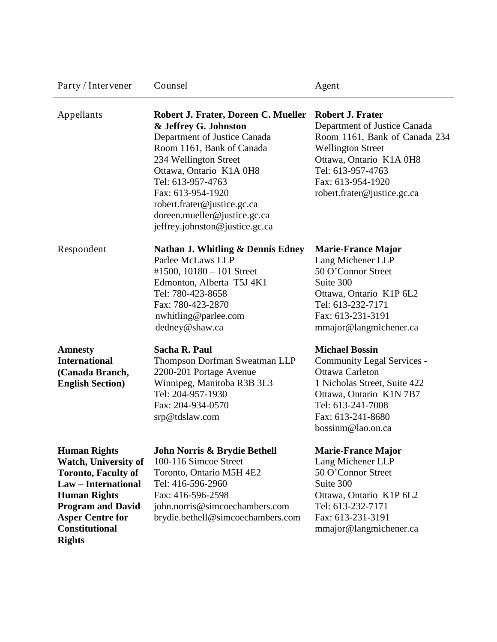| Party / Intervener                                                                                                                                                                                                              | Counsel                                                                                                                                                                                                                                                                                                                  | Agent                                                                                                                                                                                                                    |  |
|---------------------------------------------------------------------------------------------------------------------------------------------------------------------------------------------------------------------------------|--------------------------------------------------------------------------------------------------------------------------------------------------------------------------------------------------------------------------------------------------------------------------------------------------------------------------|--------------------------------------------------------------------------------------------------------------------------------------------------------------------------------------------------------------------------|--|
| Appellants                                                                                                                                                                                                                      | Robert J. Frater, Doreen C. Mueller<br>& Jeffrey G. Johnston<br>Department of Justice Canada<br>Room 1161, Bank of Canada<br>234 Wellington Street<br>Ottawa, Ontario K1A 0H8<br>Tel: 613-957-4763<br>Fax: 613-954-1920<br>robert.frater@justice.gc.ca<br>doreen.mueller@justice.gc.ca<br>jeffrey.johnston@justice.gc.ca | <b>Robert J. Frater</b><br>Department of Justice Canada<br>Room 1161, Bank of Canada 234<br><b>Wellington Street</b><br>Ottawa, Ontario K1A 0H8<br>Tel: 613-957-4763<br>Fax: 613-954-1920<br>robert.frater@justice.gc.ca |  |
| Respondent                                                                                                                                                                                                                      | <b>Nathan J. Whitling &amp; Dennis Edney</b><br>Parlee McLaws LLP<br>#1500, $10180 - 101$ Street<br>Edmonton, Alberta T5J 4K1<br>Tel: 780-423-8658<br>Fax: 780-423-2870<br>nwhitling@parlee.com<br>dedney@shaw.ca                                                                                                        | <b>Marie-France Major</b><br>Lang Michener LLP<br>50 O'Connor Street<br>Suite 300<br>Ottawa, Ontario K1P 6L2<br>Tel: 613-232-7171<br>Fax: 613-231-3191<br>mmajor@langmichener.ca                                         |  |
| <b>Amnesty</b><br><b>International</b><br>(Canada Branch,<br><b>English Section</b> )                                                                                                                                           | Sacha R. Paul<br><b>Thompson Dorfman Sweatman LLP</b><br>2200-201 Portage Avenue<br>Winnipeg, Manitoba R3B 3L3<br>Tel: 204-957-1930<br>Fax: 204-934-0570<br>srp@tdslaw.com                                                                                                                                               | <b>Michael Bossin</b><br>Community Legal Services -<br>Ottawa Carleton<br>1 Nicholas Street, Suite 422<br>Ottawa, Ontario K1N 7B7<br>Tel: 613-241-7008<br>Fax: 613-241-8680<br>bossinm@lao.on.ca                         |  |
| <b>Human Rights</b><br><b>Watch, University of</b><br><b>Toronto, Faculty of</b><br>Law - International<br><b>Human Rights</b><br><b>Program and David</b><br><b>Asper Centre for</b><br><b>Constitutional</b><br><b>Rights</b> | John Norris & Brydie Bethell<br>100-116 Simcoe Street<br>Toronto, Ontario M5H 4E2<br>Tel: 416-596-2960<br>Fax: 416-596-2598<br>john.norris@simcoechambers.com<br>brydie.bethell@simcoechambers.com                                                                                                                       | <b>Marie-France Major</b><br>Lang Michener LLP<br>50 O'Connor Street<br>Suite 300<br>Ottawa, Ontario K1P 6L2<br>Tel: 613-232-7171<br>Fax: 613-231-3191<br>mmajor@langmichener.ca                                         |  |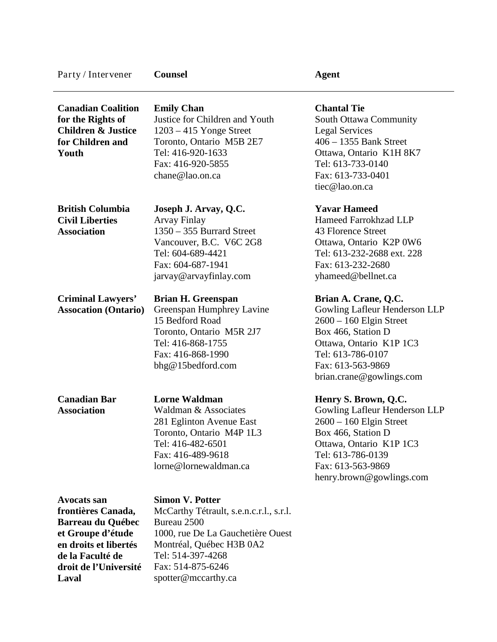| Party / Intervener                                                                                                                                                       | <b>Counsel</b>                                                                                                                                                                                                     | <b>Agent</b>                                                                                                                                                                                              |
|--------------------------------------------------------------------------------------------------------------------------------------------------------------------------|--------------------------------------------------------------------------------------------------------------------------------------------------------------------------------------------------------------------|-----------------------------------------------------------------------------------------------------------------------------------------------------------------------------------------------------------|
| <b>Canadian Coalition</b><br>for the Rights of<br><b>Children &amp; Justice</b><br>for Children and<br>Youth                                                             | <b>Emily Chan</b><br>Justice for Children and Youth<br>$1203 - 415$ Yonge Street<br>Toronto, Ontario M5B 2E7<br>Tel: 416-920-1633<br>Fax: 416-920-5855<br>chane@lao.on.ca                                          | <b>Chantal Tie</b><br>South Ottawa Community<br><b>Legal Services</b><br>$406 - 1355$ Bank Street<br>Ottawa, Ontario K1H 8K7<br>Tel: 613-733-0140<br>Fax: 613-733-0401<br>tiec@lao.on.ca                  |
| <b>British Columbia</b><br><b>Civil Liberties</b><br><b>Association</b>                                                                                                  | Joseph J. Arvay, Q.C.<br><b>Arvay Finlay</b><br>$1350 - 355$ Burrard Street<br>Vancouver, B.C. V6C 2G8<br>Tel: 604-689-4421<br>Fax: 604-687-1941<br>jarvay@arvayfinlay.com                                         | <b>Yavar Hameed</b><br>Hameed Farrokhzad LLP<br>43 Florence Street<br>Ottawa, Ontario K2P 0W6<br>Tel: 613-232-2688 ext. 228<br>Fax: 613-232-2680<br>yhameed@bellnet.ca                                    |
| <b>Criminal Lawyers'</b><br><b>Assocation (Ontario)</b>                                                                                                                  | <b>Brian H. Greenspan</b><br>Greenspan Humphrey Lavine<br>15 Bedford Road<br>Toronto, Ontario M5R 2J7<br>Tel: 416-868-1755<br>Fax: 416-868-1990<br>bhg@15bedford.com                                               | Brian A. Crane, Q.C.<br>Gowling Lafleur Henderson LLP<br>$2600 - 160$ Elgin Street<br>Box 466, Station D<br>Ottawa, Ontario K1P 1C3<br>Tel: 613-786-0107<br>Fax: 613-563-9869<br>brian.crane@gowlings.com |
| <b>Canadian Bar</b><br><b>Association</b>                                                                                                                                | <b>Lorne Waldman</b><br>Waldman & Associates<br>281 Eglinton Avenue East<br>Toronto, Ontario M4P 1L3<br>Tel: 416-482-6501<br>Fax: 416-489-9618<br>lorne@lornewaldman.ca                                            | Henry S. Brown, Q.C.<br>Gowling Lafleur Henderson LLP<br>$2600 - 160$ Elgin Street<br>Box 466, Station D<br>Ottawa, Ontario K1P 1C3<br>Tel: 613-786-0139<br>Fax: 613-563-9869<br>henry.brown@gowlings.com |
| <b>Avocats san</b><br>frontières Canada,<br><b>Barreau du Québec</b><br>et Groupe d'étude<br>en droits et libertés<br>de la Faculté de<br>droit de l'Université<br>Laval | <b>Simon V. Potter</b><br>McCarthy Tétrault, s.e.n.c.r.l., s.r.l.<br>Bureau 2500<br>1000, rue De La Gauchetière Ouest<br>Montréal, Québec H3B 0A2<br>Tel: 514-397-4268<br>Fax: 514-875-6246<br>spotter@mccarthy.ca |                                                                                                                                                                                                           |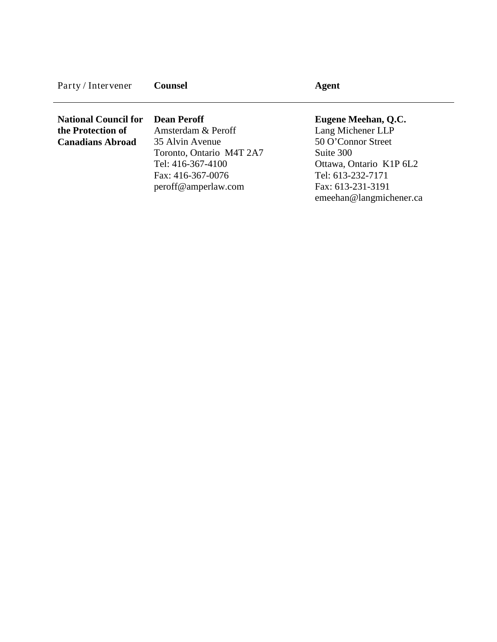| Party / Intervener          | <b>Counsel</b>           | Agent                   |  |
|-----------------------------|--------------------------|-------------------------|--|
| <b>National Council for</b> | <b>Dean Peroff</b>       | Eugene Meehan, Q.C.     |  |
|                             |                          |                         |  |
| the Protection of           | Amsterdam & Peroff       | Lang Michener LLP       |  |
| <b>Canadians Abroad</b>     | 35 Alvin Avenue          | 50 O'Connor Street      |  |
|                             | Toronto, Ontario M4T 2A7 | Suite 300               |  |
|                             | Tel: 416-367-4100        | Ottawa, Ontario K1P 6L2 |  |

Fax: 416-367-0076 peroff@amperlaw.com

Tel: 613-232-7171 Fax: 613-231-3191 emeehan@langmichener.ca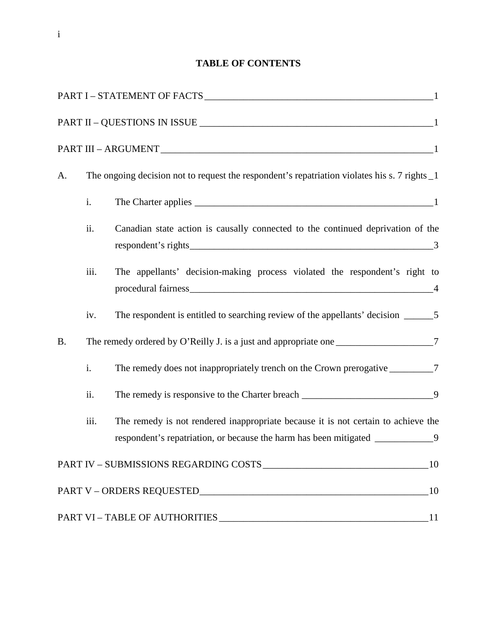# **TABLE OF CONTENTS**

| A.        |                                                                                      | The ongoing decision not to request the respondent's repatriation violates his s. 7 rights 1                                                                          |
|-----------|--------------------------------------------------------------------------------------|-----------------------------------------------------------------------------------------------------------------------------------------------------------------------|
|           | i.                                                                                   |                                                                                                                                                                       |
|           | ii.                                                                                  | Canadian state action is causally connected to the continued deprivation of the                                                                                       |
|           | iii.                                                                                 | The appellants' decision-making process violated the respondent's right to                                                                                            |
|           | iv.                                                                                  |                                                                                                                                                                       |
| <b>B.</b> | The remedy ordered by O'Reilly J. is a just and appropriate one ___________________7 |                                                                                                                                                                       |
|           | i.                                                                                   | The remedy does not inappropriately trench on the Crown prerogative __________7                                                                                       |
|           | ii.                                                                                  | The remedy is responsive to the Charter breach _________________________________9                                                                                     |
|           | iii.                                                                                 | The remedy is not rendered inappropriate because it is not certain to achieve the<br>respondent's repatriation, or because the harm has been mitigated _____________9 |
|           |                                                                                      |                                                                                                                                                                       |
|           |                                                                                      |                                                                                                                                                                       |
|           |                                                                                      |                                                                                                                                                                       |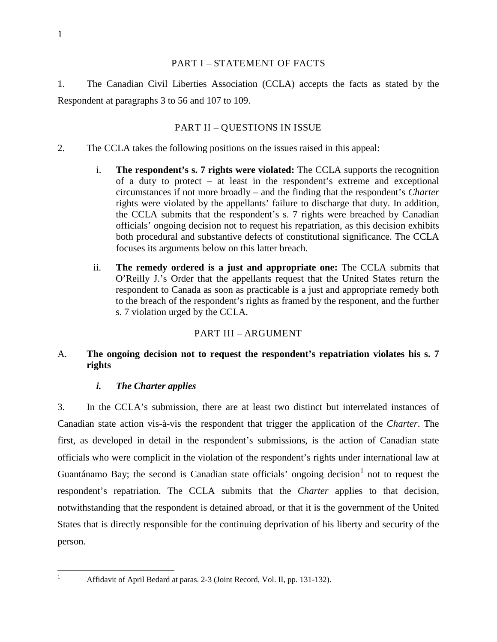## PART I – STATEMENT OF FACTS

1. The Canadian Civil Liberties Association (CCLA) accepts the facts as stated by the Respondent at paragraphs 3 to 56 and 107 to 109.

# PART II – QUESTIONS IN ISSUE

- 2. The CCLA takes the following positions on the issues raised in this appeal:
	- i. **The respondent's s. 7 rights were violated:** The CCLA supports the recognition of a duty to protect – at least in the respondent's extreme and exceptional circumstances if not more broadly – and the finding that the respondent's *Charter*  rights were violated by the appellants' failure to discharge that duty. In addition, the CCLA submits that the respondent's s. 7 rights were breached by Canadian officials' ongoing decision not to request his repatriation, as this decision exhibits both procedural and substantive defects of constitutional significance. The CCLA focuses its arguments below on this latter breach.
	- ii. **The remedy ordered is a just and appropriate one:** The CCLA submits that O'Reilly J.'s Order that the appellants request that the United States return the respondent to Canada as soon as practicable is a just and appropriate remedy both to the breach of the respondent's rights as framed by the responent, and the further s. 7 violation urged by the CCLA.

# PART III – ARGUMENT

# A. **The ongoing decision not to request the respondent's repatriation violates his s. 7 rights**

# *i. The Charter applies*

3. In the CCLA's submission, there are at least two distinct but interrelated instances of Canadian state action vis-à-vis the respondent that trigger the application of the *Charter*. The first, as developed in detail in the respondent's submissions, is the action of Canadian state officials who were complicit in the violation of the respondent's rights under international law at Guantánamo Bay; the second is Canadian state officials' ongoing decision $1$  not to request the respondent's repatriation. The CCLA submits that the *Charter* applies to that decision, notwithstanding that the respondent is detained abroad, or that it is the government of the United States that is directly responsible for the continuing deprivation of his liberty and security of the person.

<span id="page-5-0"></span>

<sup>&</sup>lt;sup>1</sup> Affidavit of April Bedard at paras. 2-3 (Joint Record, Vol. II, pp. 131-132).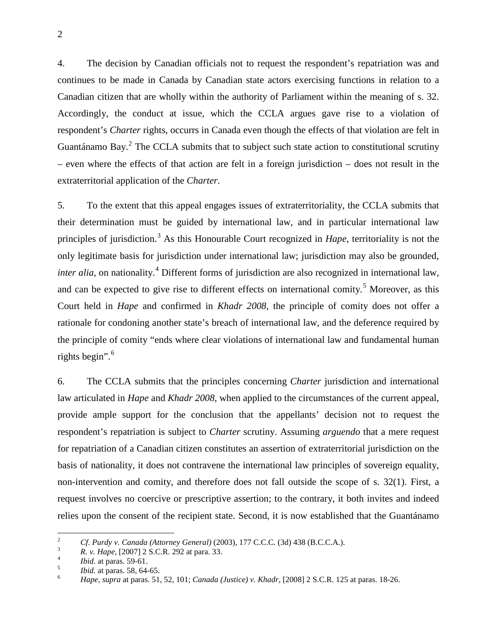4. The decision by Canadian officials not to request the respondent's repatriation was and continues to be made in Canada by Canadian state actors exercising functions in relation to a Canadian citizen that are wholly within the authority of Parliament within the meaning of s. 32. Accordingly, the conduct at issue, which the CCLA argues gave rise to a violation of respondent's *Charter* rights, occurrs in Canada even though the effects of that violation are felt in Guantánamo Bay. $2$  The CCLA submits that to subject such state action to constitutional scrutiny – even where the effects of that action are felt in a foreign jurisdiction – does not result in the extraterritorial application of the *Charter*.

5. To the extent that this appeal engages issues of extraterritoriality, the CCLA submits that their determination must be guided by international law, and in particular international law principles of jurisdiction. [3](#page-6-1) As this Honourable Court recognized in *Hape*, territoriality is not the only legitimate basis for jurisdiction under international law; jurisdiction may also be grounded, *inter alia*, on nationality.<sup>[4](#page-6-2)</sup> Different forms of jurisdiction are also recognized in international law, and can be expected to give rise to different effects on international comity.<sup>[5](#page-6-3)</sup> Moreover, as this Court held in *Hape* and confirmed in *Khadr 2008*, the principle of comity does not offer a rationale for condoning another state's breach of international law, and the deference required by the principle of comity "ends where clear violations of international law and fundamental human rights begin".<sup>[6](#page-6-4)</sup>

6. The CCLA submits that the principles concerning *Charter* jurisdiction and international law articulated in *Hape* and *Khadr 2008*, when applied to the circumstances of the current appeal, provide ample support for the conclusion that the appellants' decision not to request the respondent's repatriation is subject to *Charter* scrutiny. Assuming *arguendo* that a mere request for repatriation of a Canadian citizen constitutes an assertion of extraterritorial jurisdiction on the basis of nationality, it does not contravene the international law principles of sovereign equality, non-intervention and comity, and therefore does not fall outside the scope of s. 32(1). First, a request involves no coercive or prescriptive assertion; to the contrary, it both invites and indeed relies upon the consent of the recipient state. Second, it is now established that the Guantánamo

<span id="page-6-1"></span>

<span id="page-6-2"></span>

<span id="page-6-4"></span><span id="page-6-3"></span>

<span id="page-6-0"></span><sup>&</sup>lt;sup>2</sup> *Cf. Purdy v. Canada (Attorney General)* (2003), 177 C.C.C. (3d) 438 (B.C.C.A.).<br> *R. v. Hape*, [2007] 2 S.C.R. 292 at para. 33.<br> *Ibid.* at paras. 59-61.<br> *Bid.* at paras. 58, 64-65.<br> *Hape, supra* at paras. 51, 52,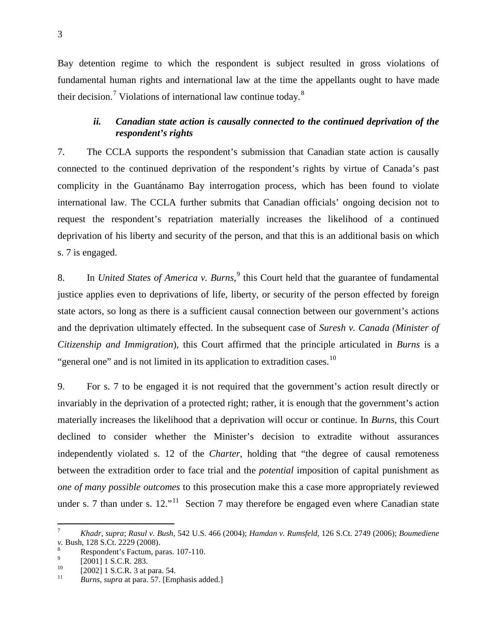Bay detention regime to which the respondent is subject resulted in gross violations of fundamental human rights and international law at the time the appellants ought to have made their decision.<sup>[7](#page-7-0)</sup> Violations of international law continue today.<sup>[8](#page-7-1)</sup>

# *ii. Canadian state action is causally connected to the continued deprivation of the respondent's rights*

7. The CCLA supports the respondent's submission that Canadian state action is causally connected to the continued deprivation of the respondent's rights by virtue of Canada's past complicity in the Guantánamo Bay interrogation process, which has been found to violate international law. The CCLA further submits that Canadian officials' ongoing decision not to request the respondent's repatriation materially increases the likelihood of a continued deprivation of his liberty and security of the person, and that this is an additional basis on which s. 7 is engaged.

8. In *United States of America v. Burns*, [9](#page-7-2) this Court held that the guarantee of fundamental justice applies even to deprivations of life, liberty, or security of the person effected by foreign state actors, so long as there is a sufficient causal connection between our government's actions and the deprivation ultimately effected. In the subsequent case of *Suresh v. Canada (Minister of Citizenship and Immigration*), this Court affirmed that the principle articulated in *Burns* is a "general one" and is not limited in its application to extradition cases. $10$ 

9. For s. 7 to be engaged it is not required that the government's action result directly or invariably in the deprivation of a protected right; rather, it is enough that the government's action materially increases the likelihood that a deprivation will occur or continue. In *Burns*, this Court declined to consider whether the Minister's decision to extradite without assurances independently violated s. 12 of the *Charter*, holding that "the degree of causal remoteness between the extradition order to face trial and the *potential* imposition of capital punishment as *one of many possible outcomes* to this prosecution make this a case more appropriately reviewed under s. 7 than under s.  $12.^{11}$  $12.^{11}$  $12.^{11}$  Section 7 may therefore be engaged even where Canadian state

<span id="page-7-0"></span> <sup>7</sup> *Khadr*, *supra*; *Rasul v. Bush*, 542 U.S. 466 (2004); *Hamdan v. Rumsfeld*, 126 S.Ct. 2749 (2006); *Boumediene v.* Bush, 128 S.Ct. 2229 (2008).<br>
<sup>8</sup> Respondent's Factum, paras. 107-110.<br>
<sup>9</sup> [2001] 1 S.C.R. 283.<br>
<sup>10</sup> [2002] 1 S.C.R. 3 at para. 54.<br> *Burns*, *supra* at para. 57. [Emphasis added.]

<span id="page-7-1"></span>

<span id="page-7-2"></span>

<span id="page-7-3"></span>

<span id="page-7-4"></span>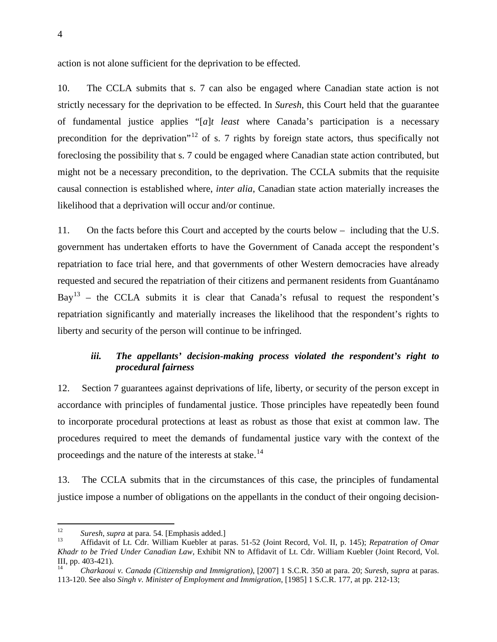action is not alone sufficient for the deprivation to be effected.

10. The CCLA submits that s. 7 can also be engaged where Canadian state action is not strictly necessary for the deprivation to be effected. In *Suresh*, this Court held that the guarantee of fundamental justice applies "[*a*]*t least* where Canada's participation is a necessary precondition for the deprivation"<sup>[12](#page-8-0)</sup> of s. 7 rights by foreign state actors, thus specifically not foreclosing the possibility that s. 7 could be engaged where Canadian state action contributed, but might not be a necessary precondition, to the deprivation. The CCLA submits that the requisite causal connection is established where, *inter alia*, Canadian state action materially increases the likelihood that a deprivation will occur and/or continue.

11. On the facts before this Court and accepted by the courts below – including that the U.S. government has undertaken efforts to have the Government of Canada accept the respondent's repatriation to face trial here, and that governments of other Western democracies have already requested and secured the repatriation of their citizens and permanent residents from Guantánamo  $Bay<sup>13</sup>$  $Bay<sup>13</sup>$  $Bay<sup>13</sup>$  – the CCLA submits it is clear that Canada's refusal to request the respondent's repatriation significantly and materially increases the likelihood that the respondent's rights to liberty and security of the person will continue to be infringed.

## *iii. The appellants' decision-making process violated the respondent's right to procedural fairness*

12. Section 7 guarantees against deprivations of life, liberty, or security of the person except in accordance with principles of fundamental justice. Those principles have repeatedly been found to incorporate procedural protections at least as robust as those that exist at common law. The procedures required to meet the demands of fundamental justice vary with the context of the proceedings and the nature of the interests at stake.<sup>[14](#page-8-2)</sup>

13. The CCLA submits that in the circumstances of this case, the principles of fundamental justice impose a number of obligations on the appellants in the conduct of their ongoing decision-

<span id="page-8-1"></span>

<span id="page-8-0"></span><sup>&</sup>lt;sup>12</sup> *Suresh, supra* at para. 54. [Emphasis added.]<br><sup>13</sup> Affidavit of Lt. Cdr. William Kuebler at paras. 51-52 (Joint Record, Vol. II, p. 145); *Repatration of Omar Khadr to be Tried Under Canadian Law*, Exhibit NN to Affidavit of Lt. Cdr. William Kuebler (Joint Record, Vol. III, pp. 403-421). <sup>14</sup> *Charkaoui v. Canada (Citizenship and Immigration)*, [2007] 1 S.C.R. 350 at para. 20; *Suresh*, *supra* at paras.

<span id="page-8-2"></span><sup>113-120.</sup> See also *Singh v. Minister of Employment and Immigration*, [\[1985\] 1 S.C.R. 177,](http://www.lexisnexis.com/ca/legal/search/runRemoteLink.do?service=citation&langcountry=CA&risb=21_T7452142001&A=0.23424763921704594&linkInfo=F%23CA%23SCR%23year%251985%25page%25177%25vol%251%25sel2%251%25sel1%251985%25&bct=A) at pp. 212-13;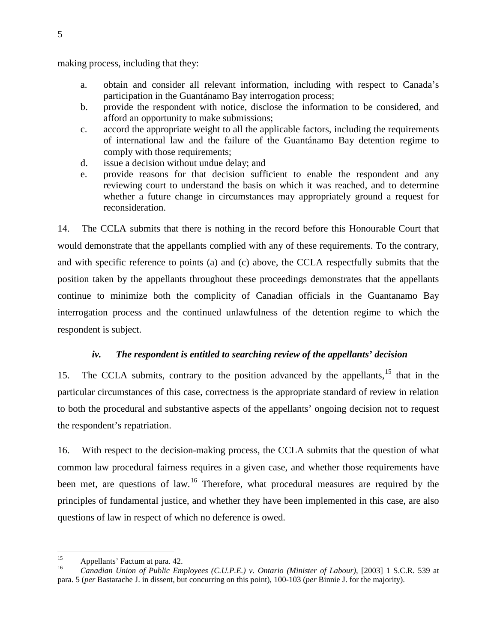making process, including that they:

- a. obtain and consider all relevant information, including with respect to Canada's participation in the Guantánamo Bay interrogation process;
- b. provide the respondent with notice, disclose the information to be considered, and afford an opportunity to make submissions;
- c. accord the appropriate weight to all the applicable factors, including the requirements of international law and the failure of the Guantánamo Bay detention regime to comply with those requirements;
- d. issue a decision without undue delay; and
- e. provide reasons for that decision sufficient to enable the respondent and any reviewing court to understand the basis on which it was reached, and to determine whether a future change in circumstances may appropriately ground a request for reconsideration.

14. The CCLA submits that there is nothing in the record before this Honourable Court that would demonstrate that the appellants complied with any of these requirements. To the contrary, and with specific reference to points (a) and (c) above, the CCLA respectfully submits that the position taken by the appellants throughout these proceedings demonstrates that the appellants continue to minimize both the complicity of Canadian officials in the Guantanamo Bay interrogation process and the continued unlawfulness of the detention regime to which the respondent is subject.

#### *iv. The respondent is entitled to searching review of the appellants' decision*

[15](#page-9-0). The CCLA submits, contrary to the position advanced by the appellants,<sup>15</sup> that in the particular circumstances of this case, correctness is the appropriate standard of review in relation to both the procedural and substantive aspects of the appellants' ongoing decision not to request the respondent's repatriation.

16. With respect to the decision-making process, the CCLA submits that the question of what common law procedural fairness requires in a given case, and whether those requirements have been met, are questions of law.<sup>[16](#page-9-1)</sup> Therefore, what procedural measures are required by the principles of fundamental justice, and whether they have been implemented in this case, are also questions of law in respect of which no deference is owed.

<span id="page-9-1"></span><span id="page-9-0"></span><sup>&</sup>lt;sup>15</sup> Appellants' Factum at para. 42.<br><sup>16</sup> *Canadian Union of Public Employees (C.U.P.E.) v. Ontario (Minister of Labour)*, [2003] 1 S.C.R. 539 at para. 5 (*per* Bastarache J. in dissent, but concurring on this point), 100-103 (*per* Binnie J. for the majority).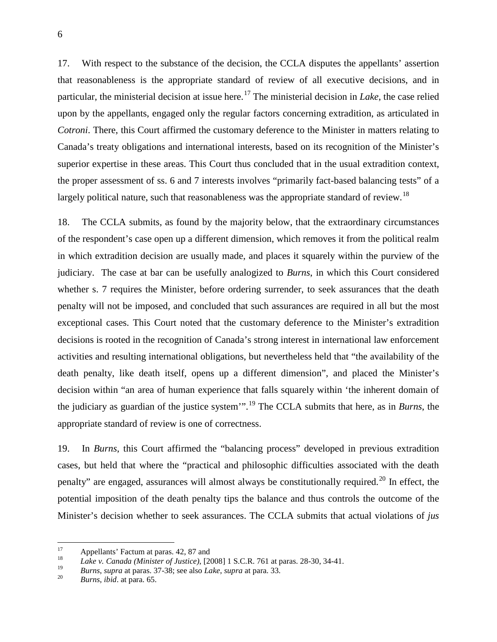17. With respect to the substance of the decision, the CCLA disputes the appellants' assertion that reasonableness is the appropriate standard of review of all executive decisions, and in particular, the ministerial decision at issue here.[17](#page-10-0) The ministerial decision in *Lake*, the case relied upon by the appellants, engaged only the regular factors concerning extradition, as articulated in *Cotroni*. There, this Court affirmed the customary deference to the Minister in matters relating to Canada's treaty obligations and international interests, based on its recognition of the Minister's superior expertise in these areas. This Court thus concluded that in the usual extradition context, the proper assessment of ss. 6 and 7 interests involves "primarily fact-based balancing tests" of a largely political nature, such that reasonableness was the appropriate standard of review.<sup>[18](#page-10-1)</sup>

18. The CCLA submits, as found by the majority below, that the extraordinary circumstances of the respondent's case open up a different dimension, which removes it from the political realm in which extradition decision are usually made, and places it squarely within the purview of the judiciary. The case at bar can be usefully analogized to *Burns*, in which this Court considered whether s. 7 requires the Minister, before ordering surrender, to seek assurances that the death penalty will not be imposed, and concluded that such assurances are required in all but the most exceptional cases. This Court noted that the customary deference to the Minister's extradition decisions is rooted in the recognition of Canada's strong interest in international law enforcement activities and resulting international obligations, but nevertheless held that "the availability of the death penalty, like death itself, opens up a different dimension", and placed the Minister's decision within "an area of human experience that falls squarely within 'the inherent domain of the judiciary as guardian of the justice system'".[19](#page-10-2) The CCLA submits that here, as in *Burns*, the appropriate standard of review is one of correctness.

19. In *Burns*, this Court affirmed the "balancing process" developed in previous extradition cases, but held that where the "practical and philosophic difficulties associated with the death penalty" are engaged, assurances will almost always be constitutionally required.<sup>[20](#page-10-3)</sup> In effect, the potential imposition of the death penalty tips the balance and thus controls the outcome of the Minister's decision whether to seek assurances. The CCLA submits that actual violations of *jus* 

<span id="page-10-0"></span><sup>17</sup> Appellants' Factum at paras. 42, 87 and<br>
18 *Lake v. Canada (Minister of Justice)*, [2008] 1 S.C.R. 761 at paras. 28-30, 34-41.

<span id="page-10-3"></span><span id="page-10-2"></span><span id="page-10-1"></span><sup>19</sup> *Burns*, *supra* at paras. 37-38; see also *Lake*, *supra* at para. 33. <sup>20</sup> *Burns*, *ibid*. at para. 65.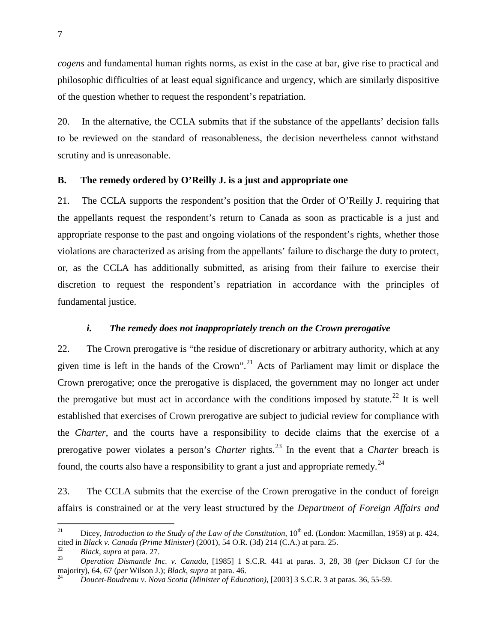*cogens* and fundamental human rights norms, as exist in the case at bar, give rise to practical and philosophic difficulties of at least equal significance and urgency, which are similarly dispositive of the question whether to request the respondent's repatriation.

20. In the alternative, the CCLA submits that if the substance of the appellants' decision falls to be reviewed on the standard of reasonableness, the decision nevertheless cannot withstand scrutiny and is unreasonable.

#### **B. The remedy ordered by O'Reilly J. is a just and appropriate one**

21. The CCLA supports the respondent's position that the Order of O'Reilly J. requiring that the appellants request the respondent's return to Canada as soon as practicable is a just and appropriate response to the past and ongoing violations of the respondent's rights, whether those violations are characterized as arising from the appellants' failure to discharge the duty to protect, or, as the CCLA has additionally submitted, as arising from their failure to exercise their discretion to request the respondent's repatriation in accordance with the principles of fundamental justice.

### *i. The remedy does not inappropriately trench on the Crown prerogative*

22. The Crown prerogative is "the residue of discretionary or arbitrary authority, which at any given time is left in the hands of the Crown".<sup>[21](#page-11-0)</sup> Acts of Parliament may limit or displace the Crown prerogative; once the prerogative is displaced, the government may no longer act under the prerogative but must act in accordance with the conditions imposed by statute.<sup>[22](#page-11-1)</sup> It is well established that exercises of Crown prerogative are subject to judicial review for compliance with the *Charter*, and the courts have a responsibility to decide claims that the exercise of a prerogative power violates a person's *Charter* rights.<sup>[23](#page-11-2)</sup> In the event that a *Charter* breach is found, the courts also have a responsibility to grant a just and appropriate remedy.<sup>[24](#page-11-3)</sup>

23. The CCLA submits that the exercise of the Crown prerogative in the conduct of foreign affairs is constrained or at the very least structured by the *Department of Foreign Affairs and* 

<span id="page-11-0"></span><sup>&</sup>lt;sup>21</sup> Dicey, *Introduction to the Study of the Law of the Constitution*,  $10^{th}$  ed. (London: Macmillan, 1959) at p. 424, cited in *Black v. Canada (Prime Minister)* (2001), 54 O.R. (3d) 214 (C.A.) at para. 25.<br><sup>22</sup> *Black, supra at para. 27.*<br>*23 Operation Dismantle Inc. v. Canada,* [1985] 1 S.C.R. 441 at paras. 3, 28, 38 (*per Dickson CJ fo* 

<span id="page-11-1"></span>

<span id="page-11-3"></span><span id="page-11-2"></span>majority), 64, 67 (*per* Wilson J.); *Black*, *supra* at para. 46.<br><sup>24</sup> *Doucet-Boudreau v. Nova Scotia (Minister of Education)*, [2003] 3 S.C.R. 3 at paras. 36, 55-59.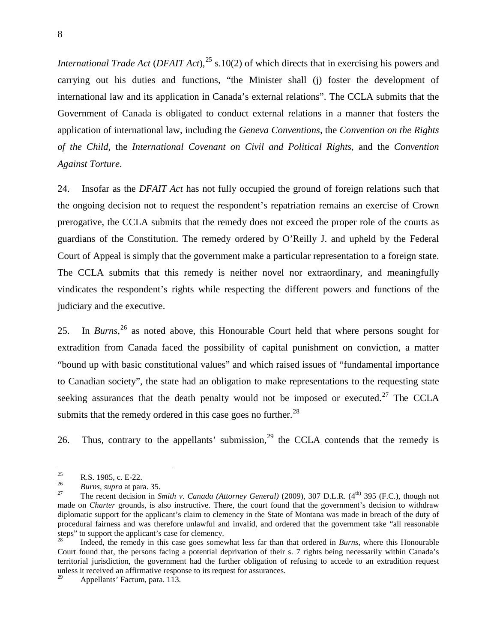*International Trade Act (DFAIT Act)*,<sup>[25](#page-12-0)</sup> s.10(2) of which directs that in exercising his powers and carrying out his duties and functions, "the Minister shall (j) foster the development of international law and its application in Canada's external relations". The CCLA submits that the Government of Canada is obligated to conduct external relations in a manner that fosters the application of international law, including the *Geneva Conventions*, the *Convention on the Rights of the Child*, the *International Covenant on Civil and Political Rights*, and the *Convention Against Torture*.

24. Insofar as the *DFAIT Act* has not fully occupied the ground of foreign relations such that the ongoing decision not to request the respondent's repatriation remains an exercise of Crown prerogative, the CCLA submits that the remedy does not exceed the proper role of the courts as guardians of the Constitution. The remedy ordered by O'Reilly J. and upheld by the Federal Court of Appeal is simply that the government make a particular representation to a foreign state. The CCLA submits that this remedy is neither novel nor extraordinary, and meaningfully vindicates the respondent's rights while respecting the different powers and functions of the judiciary and the executive.

25. In *Burns*, [26](#page-12-1) as noted above, this Honourable Court held that where persons sought for extradition from Canada faced the possibility of capital punishment on conviction, a matter "bound up with basic constitutional values" and which raised issues of "fundamental importance to Canadian society", the state had an obligation to make representations to the requesting state seeking assurances that the death penalty would not be imposed or executed.<sup>[27](#page-12-2)</sup> The CCLA submits that the remedy ordered in this case goes no further. $^{28}$  $^{28}$  $^{28}$ 

26. Thus, contrary to the appellants' submission,  $29$  the CCLA contends that the remedy is

<span id="page-12-2"></span>

<span id="page-12-1"></span><span id="page-12-0"></span><sup>25</sup> R.S. 1985, c. E-22.<br> *Burns*, *supra* at para. 35.<br>
<sup>27</sup> The recent decision in *Smith v. Canada (Attorney General) (2009)*, 307 D.L.R. (4<sup>th)</sup> 395 (F.C.), though not made on *Charter* grounds, is also instructive. There, the court found that the government's decision to withdraw diplomatic support for the applicant's claim to clemency in the State of Montana was made in breach of the duty of procedural fairness and was therefore unlawful and invalid, and ordered that the government take "all reasonable steps" to support the applicant's case for clemency.

<span id="page-12-3"></span><sup>28</sup> Indeed, the remedy in this case goes somewhat less far than that ordered in *Burns*, where this Honourable Court found that, the persons facing a potential deprivation of their s. 7 rights being necessarily within Canada's territorial jurisdiction, the government had the further obligation of refusing to accede to an extradition request unless it received an affirmative response to its request for assurances.

<span id="page-12-4"></span>Appellants' Factum, para. 113.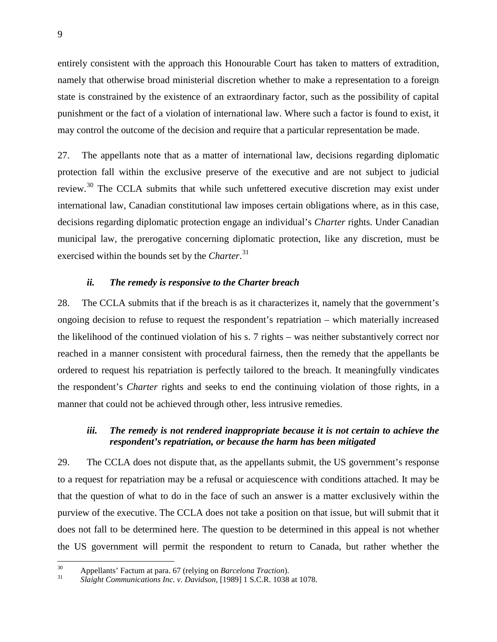entirely consistent with the approach this Honourable Court has taken to matters of extradition, namely that otherwise broad ministerial discretion whether to make a representation to a foreign state is constrained by the existence of an extraordinary factor, such as the possibility of capital punishment or the fact of a violation of international law. Where such a factor is found to exist, it may control the outcome of the decision and require that a particular representation be made.

27. The appellants note that as a matter of international law, decisions regarding diplomatic protection fall within the exclusive preserve of the executive and are not subject to judicial review.<sup>[30](#page-13-0)</sup> The CCLA submits that while such unfettered executive discretion may exist under international law, Canadian constitutional law imposes certain obligations where, as in this case, decisions regarding diplomatic protection engage an individual's *Charter* rights. Under Canadian municipal law, the prerogative concerning diplomatic protection, like any discretion, must be exercised within the bounds set by the *Charter*. [31](#page-13-1)

#### *ii. The remedy is responsive to the Charter breach*

28. The CCLA submits that if the breach is as it characterizes it, namely that the government's ongoing decision to refuse to request the respondent's repatriation – which materially increased the likelihood of the continued violation of his s. 7 rights – was neither substantively correct nor reached in a manner consistent with procedural fairness, then the remedy that the appellants be ordered to request his repatriation is perfectly tailored to the breach. It meaningfully vindicates the respondent's *Charter* rights and seeks to end the continuing violation of those rights, in a manner that could not be achieved through other, less intrusive remedies.

## *iii. The remedy is not rendered inappropriate because it is not certain to achieve the respondent's repatriation, or because the harm has been mitigated*

29. The CCLA does not dispute that, as the appellants submit, the US government's response to a request for repatriation may be a refusal or acquiescence with conditions attached. It may be that the question of what to do in the face of such an answer is a matter exclusively within the purview of the executive. The CCLA does not take a position on that issue, but will submit that it does not fall to be determined here. The question to be determined in this appeal is not whether the US government will permit the respondent to return to Canada, but rather whether the

<span id="page-13-1"></span>

<span id="page-13-0"></span><sup>30</sup> Appellants' Factum at para. 67 (relying on *Barcelona Traction*). <sup>31</sup> *Slaight Communications Inc. v. Davidson*, [1989] 1 S.C.R. 1038 at 1078.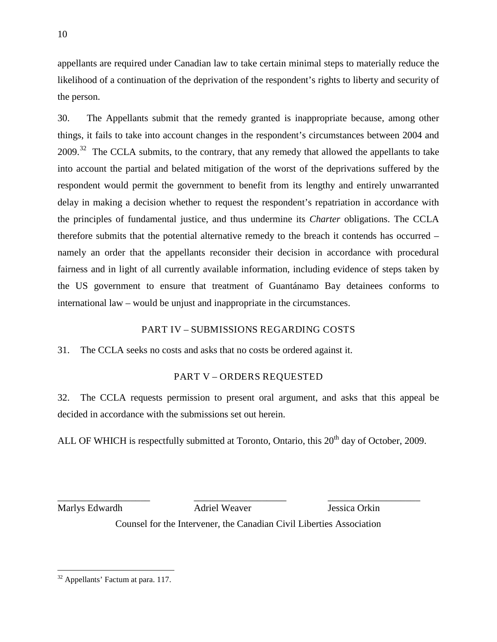appellants are required under Canadian law to take certain minimal steps to materially reduce the likelihood of a continuation of the deprivation of the respondent's rights to liberty and security of the person.

30. The Appellants submit that the remedy granted is inappropriate because, among other things, it fails to take into account changes in the respondent's circumstances between 2004 and  $2009$ .<sup>[32](#page-14-0)</sup> The CCLA submits, to the contrary, that any remedy that allowed the appellants to take into account the partial and belated mitigation of the worst of the deprivations suffered by the respondent would permit the government to benefit from its lengthy and entirely unwarranted delay in making a decision whether to request the respondent's repatriation in accordance with the principles of fundamental justice, and thus undermine its *Charter* obligations. The CCLA therefore submits that the potential alternative remedy to the breach it contends has occurred – namely an order that the appellants reconsider their decision in accordance with procedural fairness and in light of all currently available information, including evidence of steps taken by the US government to ensure that treatment of Guantánamo Bay detainees conforms to international law – would be unjust and inappropriate in the circumstances.

# PART IV – SUBMISSIONS REGARDING COSTS

31. The CCLA seeks no costs and asks that no costs be ordered against it.

# PART V – ORDERS REQUESTED

32. The CCLA requests permission to present oral argument, and asks that this appeal be decided in accordance with the submissions set out herein.

ALL OF WHICH is respectfully submitted at Toronto, Ontario, this 20<sup>th</sup> day of October, 2009.

Marlys Edwardh Adriel Weaver Jessica Orkin

\_\_\_\_\_\_\_\_\_\_\_\_\_\_\_\_\_\_\_ \_\_\_\_\_\_\_\_\_\_\_\_\_\_\_\_\_\_\_ \_\_\_\_\_\_\_\_\_\_\_\_\_\_\_\_\_\_\_

Counsel for the Intervener, the Canadian Civil Liberties Association

<span id="page-14-0"></span> <sup>32</sup> Appellants' Factum at para. 117.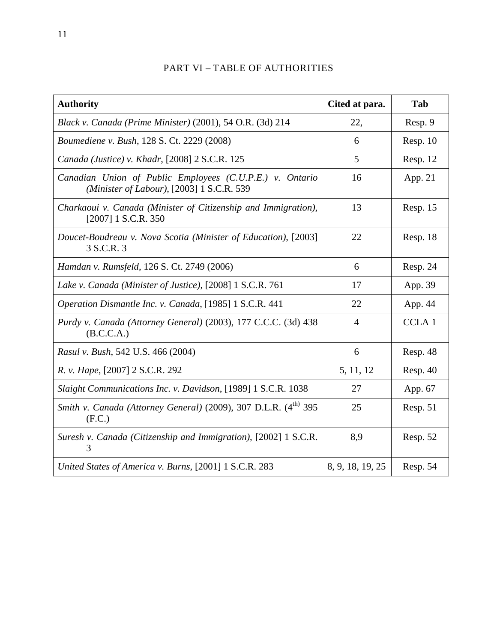# PART VI – TABLE OF AUTHORITIES

| <b>Authority</b>                                                                                      | Cited at para.   | Tab          |
|-------------------------------------------------------------------------------------------------------|------------------|--------------|
| Black v. Canada (Prime Minister) (2001), 54 O.R. (3d) 214                                             | 22,              | Resp. 9      |
| Boumediene v. Bush, 128 S. Ct. 2229 (2008)                                                            | 6                | Resp. 10     |
| Canada (Justice) v. Khadr, [2008] 2 S.C.R. 125                                                        | 5                | Resp. 12     |
| Canadian Union of Public Employees (C.U.P.E.) v. Ontario<br>(Minister of Labour), [2003] 1 S.C.R. 539 | 16               | App. 21      |
| Charkaoui v. Canada (Minister of Citizenship and Immigration),<br>$[2007]$ 1 S.C.R. 350               | 13               | Resp. 15     |
| Doucet-Boudreau v. Nova Scotia (Minister of Education), [2003]<br>3 S.C.R. 3                          | 22               | Resp. 18     |
| Hamdan v. Rumsfeld, 126 S. Ct. 2749 (2006)                                                            | 6                | Resp. 24     |
| Lake v. Canada (Minister of Justice), [2008] 1 S.C.R. 761                                             | 17               | App. 39      |
| Operation Dismantle Inc. v. Canada, [1985] 1 S.C.R. 441                                               | 22               | App. 44      |
| Purdy v. Canada (Attorney General) (2003), 177 C.C.C. (3d) 438<br>(B.C.C.A.)                          | $\overline{4}$   | <b>CCLA1</b> |
| Rasul v. Bush, 542 U.S. 466 (2004)                                                                    | 6                | Resp. 48     |
| R. v. Hape, [2007] 2 S.C.R. 292                                                                       | 5, 11, 12        | Resp. 40     |
| Slaight Communications Inc. v. Davidson, [1989] 1 S.C.R. 1038                                         | 27               | App. 67      |
| Smith v. Canada (Attorney General) (2009), 307 D.L.R. (4 <sup>th)</sup> 395<br>(F.C.)                 | 25               | Resp. 51     |
| Suresh v. Canada (Citizenship and Immigration), [2002] 1 S.C.R.<br>3                                  | 8,9              | Resp. 52     |
| United States of America v. Burns, [2001] 1 S.C.R. 283                                                | 8, 9, 18, 19, 25 | Resp. 54     |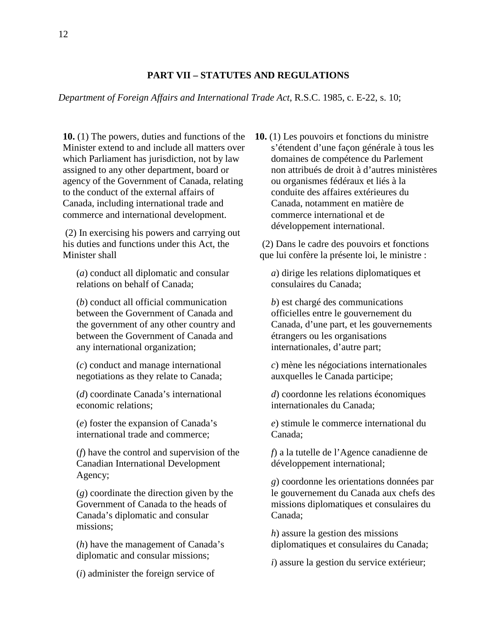#### **PART VII – STATUTES AND REGULATIONS**

#### *Department of Foreign Affairs and International Trade Act*, R.S.C. 1985, c. E-22, s. 10;

**10.** (1) The powers, duties and functions of the Minister extend to and include all matters over which Parliament has jurisdiction, not by law assigned to any other department, board or agency of the Government of Canada, relating to the conduct of the external affairs of Canada, including international trade and commerce and international development.

(2) In exercising his powers and carrying out his duties and functions under this Act, the Minister shall

(*a*) conduct all diplomatic and consular relations on behalf of Canada;

(*b*) conduct all official communication between the Government of Canada and the government of any other country and between the Government of Canada and any international organization;

(*c*) conduct and manage international negotiations as they relate to Canada;

(*d*) coordinate Canada's international economic relations;

(*e*) foster the expansion of Canada's international trade and commerce;

(*f*) have the control and supervision of the Canadian International Development Agency;

(*g*) coordinate the direction given by the Government of Canada to the heads of Canada's diplomatic and consular missions;

(*h*) have the management of Canada's diplomatic and consular missions;

(*i*) administer the foreign service of

**10.** (1) Les pouvoirs et fonctions du ministre s'étendent d'une façon générale à tous les domaines de compétence du Parlement non attribués de droit à d'autres ministères ou organismes fédéraux et liés à la conduite des affaires extérieures du Canada, notamment en matière de commerce international et de développement international.

(2) Dans le cadre des pouvoirs et fonctions que lui confère la présente loi, le ministre :

*a*) dirige les relations diplomatiques et consulaires du Canada;

*b*) est chargé des communications officielles entre le gouvernement du Canada, d'une part, et les gouvernements étrangers ou les organisations internationales, d'autre part;

*c*) mène les négociations internationales auxquelles le Canada participe;

*d*) coordonne les relations économiques internationales du Canada;

*e*) stimule le commerce international du Canada;

*f*) a la tutelle de l'Agence canadienne de développement international;

*g*) coordonne les orientations données par le gouvernement du Canada aux chefs des missions diplomatiques et consulaires du Canada;

*h*) assure la gestion des missions diplomatiques et consulaires du Canada;

*i*) assure la gestion du service extérieur;